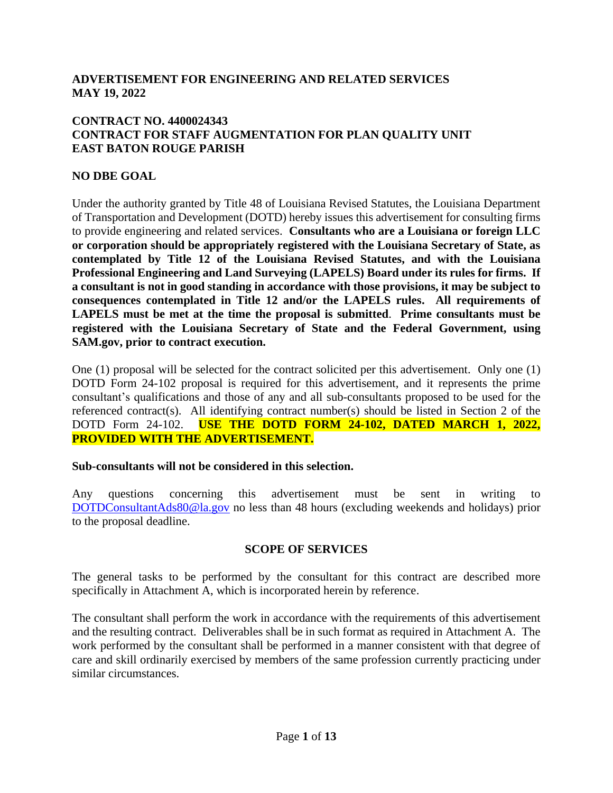### **ADVERTISEMENT FOR ENGINEERING AND RELATED SERVICES MAY 19, 2022**

### **CONTRACT NO. 4400024343 CONTRACT FOR STAFF AUGMENTATION FOR PLAN QUALITY UNIT EAST BATON ROUGE PARISH**

### **NO DBE GOAL**

Under the authority granted by Title 48 of Louisiana Revised Statutes, the Louisiana Department of Transportation and Development (DOTD) hereby issues this advertisement for consulting firms to provide engineering and related services. **Consultants who are a Louisiana or foreign LLC or corporation should be appropriately registered with the Louisiana Secretary of State, as contemplated by Title 12 of the Louisiana Revised Statutes, and with the Louisiana Professional Engineering and Land Surveying (LAPELS) Board under its rules for firms. If a consultant is not in good standing in accordance with those provisions, it may be subject to consequences contemplated in Title 12 and/or the LAPELS rules. All requirements of LAPELS must be met at the time the proposal is submitted**. **Prime consultants must be registered with the Louisiana Secretary of State and the Federal Government, using SAM.gov, prior to contract execution.** 

One (1) proposal will be selected for the contract solicited per this advertisement. Only one (1) DOTD Form 24-102 proposal is required for this advertisement, and it represents the prime consultant's qualifications and those of any and all sub-consultants proposed to be used for the referenced contract(s). All identifying contract number(s) should be listed in Section 2 of the DOTD Form 24-102. **USE THE DOTD FORM 24-102, DATED MARCH 1, 2022, PROVIDED WITH THE ADVERTISEMENT.**

#### **Sub-consultants will not be considered in this selection.**

Any questions concerning this advertisement must be sent in writing to [DOTDConsultantAds80@la.gov](mailto:DOTDConsultantAds80@la.gov) no less than 48 hours (excluding weekends and holidays) prior to the proposal deadline.

#### **SCOPE OF SERVICES**

The general tasks to be performed by the consultant for this contract are described more specifically in Attachment A, which is incorporated herein by reference.

The consultant shall perform the work in accordance with the requirements of this advertisement and the resulting contract. Deliverables shall be in such format as required in Attachment A. The work performed by the consultant shall be performed in a manner consistent with that degree of care and skill ordinarily exercised by members of the same profession currently practicing under similar circumstances.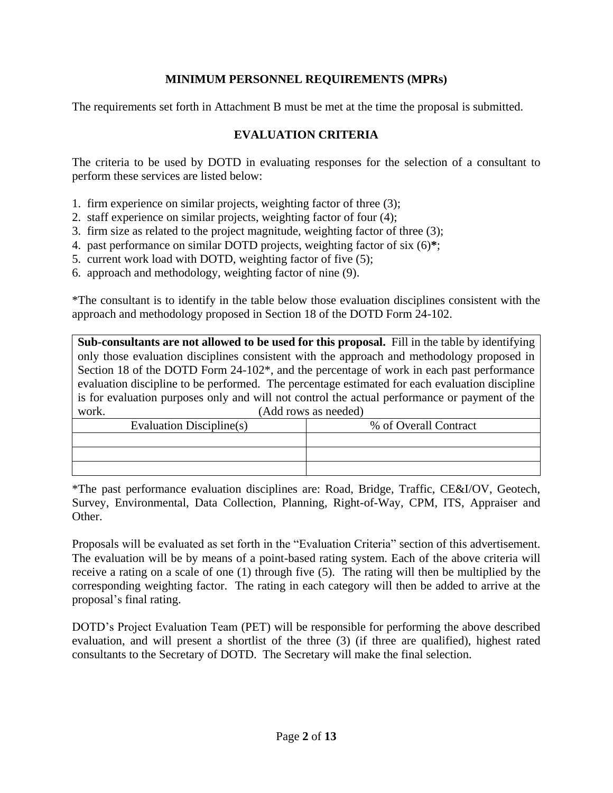### **MINIMUM PERSONNEL REQUIREMENTS (MPRs)**

The requirements set forth in Attachment B must be met at the time the proposal is submitted.

### **EVALUATION CRITERIA**

The criteria to be used by DOTD in evaluating responses for the selection of a consultant to perform these services are listed below:

- 1. firm experience on similar projects, weighting factor of three (3);
- 2. staff experience on similar projects, weighting factor of four (4);
- 3. firm size as related to the project magnitude, weighting factor of three (3);
- 4. past performance on similar DOTD projects, weighting factor of six (6)**\***;
- 5. current work load with DOTD, weighting factor of five (5);
- 6. approach and methodology, weighting factor of nine (9).

\*The consultant is to identify in the table below those evaluation disciplines consistent with the approach and methodology proposed in Section 18 of the DOTD Form 24-102.

**Sub-consultants are not allowed to be used for this proposal.** Fill in the table by identifying only those evaluation disciplines consistent with the approach and methodology proposed in Section 18 of the DOTD Form 24-102<sup>\*</sup>, and the percentage of work in each past performance evaluation discipline to be performed. The percentage estimated for each evaluation discipline is for evaluation purposes only and will not control the actual performance or payment of the work. (Add rows as needed)

| Evaluation Discipline(s) | % of Overall Contract |
|--------------------------|-----------------------|
|                          |                       |
|                          |                       |
|                          |                       |

\*The past performance evaluation disciplines are: Road, Bridge, Traffic, CE&I/OV, Geotech, Survey, Environmental, Data Collection, Planning, Right-of-Way, CPM, ITS, Appraiser and Other.

Proposals will be evaluated as set forth in the "Evaluation Criteria" section of this advertisement. The evaluation will be by means of a point-based rating system. Each of the above criteria will receive a rating on a scale of one (1) through five (5). The rating will then be multiplied by the corresponding weighting factor. The rating in each category will then be added to arrive at the proposal's final rating.

DOTD's Project Evaluation Team (PET) will be responsible for performing the above described evaluation, and will present a shortlist of the three (3) (if three are qualified), highest rated consultants to the Secretary of DOTD. The Secretary will make the final selection.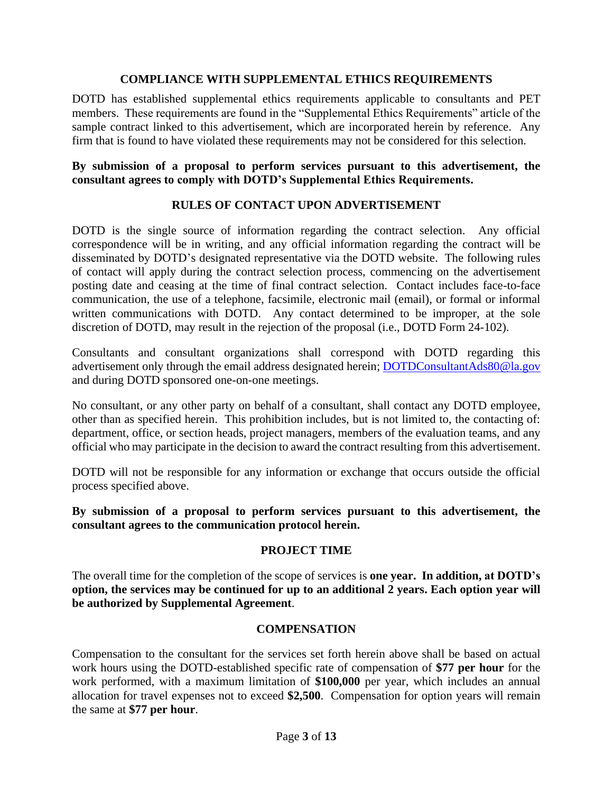### **COMPLIANCE WITH SUPPLEMENTAL ETHICS REQUIREMENTS**

DOTD has established supplemental ethics requirements applicable to consultants and PET members. These requirements are found in the "Supplemental Ethics Requirements" article of the sample contract linked to this advertisement, which are incorporated herein by reference. Any firm that is found to have violated these requirements may not be considered for this selection.

### **By submission of a proposal to perform services pursuant to this advertisement, the consultant agrees to comply with DOTD's Supplemental Ethics Requirements.**

### **RULES OF CONTACT UPON ADVERTISEMENT**

DOTD is the single source of information regarding the contract selection. Any official correspondence will be in writing, and any official information regarding the contract will be disseminated by DOTD's designated representative via the DOTD website. The following rules of contact will apply during the contract selection process, commencing on the advertisement posting date and ceasing at the time of final contract selection. Contact includes face-to-face communication, the use of a telephone, facsimile, electronic mail (email), or formal or informal written communications with DOTD. Any contact determined to be improper, at the sole discretion of DOTD, may result in the rejection of the proposal (i.e., DOTD Form 24-102).

Consultants and consultant organizations shall correspond with DOTD regarding this advertisement only through the email address designated herein; [DOTDConsultantAds80@la.gov](mailto:DOTDConsultantAds80@la.gov) and during DOTD sponsored one-on-one meetings.

No consultant, or any other party on behalf of a consultant, shall contact any DOTD employee, other than as specified herein. This prohibition includes, but is not limited to, the contacting of: department, office, or section heads, project managers, members of the evaluation teams, and any official who may participate in the decision to award the contract resulting from this advertisement.

DOTD will not be responsible for any information or exchange that occurs outside the official process specified above.

**By submission of a proposal to perform services pursuant to this advertisement, the consultant agrees to the communication protocol herein.**

### **PROJECT TIME**

The overall time for the completion of the scope of services is **one year. In addition, at DOTD's option, the services may be continued for up to an additional 2 years. Each option year will be authorized by Supplemental Agreement**.

#### **COMPENSATION**

Compensation to the consultant for the services set forth herein above shall be based on actual work hours using the DOTD-established specific rate of compensation of **\$77 per hour** for the work performed, with a maximum limitation of **\$100,000** per year, which includes an annual allocation for travel expenses not to exceed **\$2,500**. Compensation for option years will remain the same at **\$77 per hour**.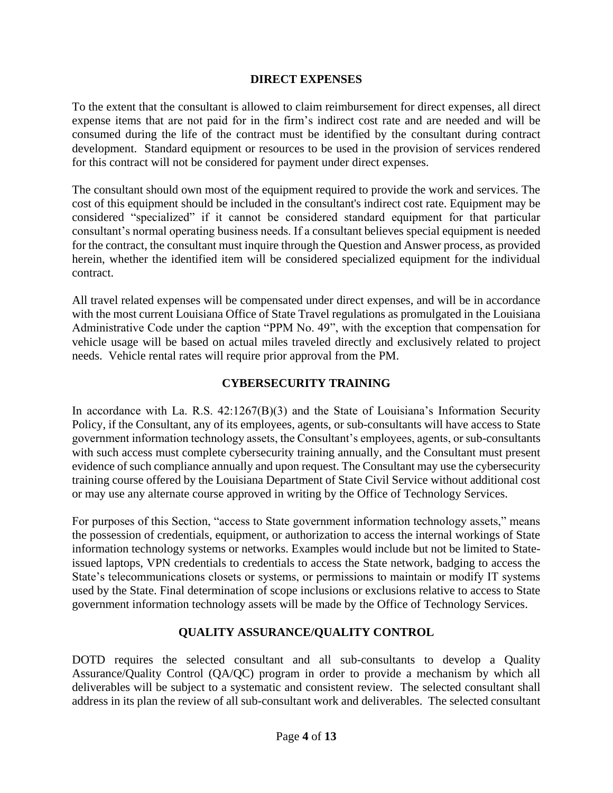### **DIRECT EXPENSES**

To the extent that the consultant is allowed to claim reimbursement for direct expenses, all direct expense items that are not paid for in the firm's indirect cost rate and are needed and will be consumed during the life of the contract must be identified by the consultant during contract development. Standard equipment or resources to be used in the provision of services rendered for this contract will not be considered for payment under direct expenses.

The consultant should own most of the equipment required to provide the work and services. The cost of this equipment should be included in the consultant's indirect cost rate. Equipment may be considered "specialized" if it cannot be considered standard equipment for that particular consultant's normal operating business needs. If a consultant believes special equipment is needed for the contract, the consultant must inquire through the Question and Answer process, as provided herein, whether the identified item will be considered specialized equipment for the individual contract.

All travel related expenses will be compensated under direct expenses, and will be in accordance with the most current Louisiana Office of State Travel regulations as promulgated in the Louisiana Administrative Code under the caption "PPM No. 49", with the exception that compensation for vehicle usage will be based on actual miles traveled directly and exclusively related to project needs. Vehicle rental rates will require prior approval from the PM.

### **CYBERSECURITY TRAINING**

In accordance with La. R.S.  $42:1267(B)(3)$  and the State of Louisiana's Information Security Policy, if the Consultant, any of its employees, agents, or sub-consultants will have access to State government information technology assets, the Consultant's employees, agents, or sub-consultants with such access must complete cybersecurity training annually, and the Consultant must present evidence of such compliance annually and upon request. The Consultant may use the cybersecurity training course offered by the Louisiana Department of State Civil Service without additional cost or may use any alternate course approved in writing by the Office of Technology Services.

For purposes of this Section, "access to State government information technology assets," means the possession of credentials, equipment, or authorization to access the internal workings of State information technology systems or networks. Examples would include but not be limited to Stateissued laptops, VPN credentials to credentials to access the State network, badging to access the State's telecommunications closets or systems, or permissions to maintain or modify IT systems used by the State. Final determination of scope inclusions or exclusions relative to access to State government information technology assets will be made by the Office of Technology Services.

### **QUALITY ASSURANCE/QUALITY CONTROL**

DOTD requires the selected consultant and all sub-consultants to develop a Quality Assurance/Quality Control (QA/QC) program in order to provide a mechanism by which all deliverables will be subject to a systematic and consistent review. The selected consultant shall address in its plan the review of all sub-consultant work and deliverables. The selected consultant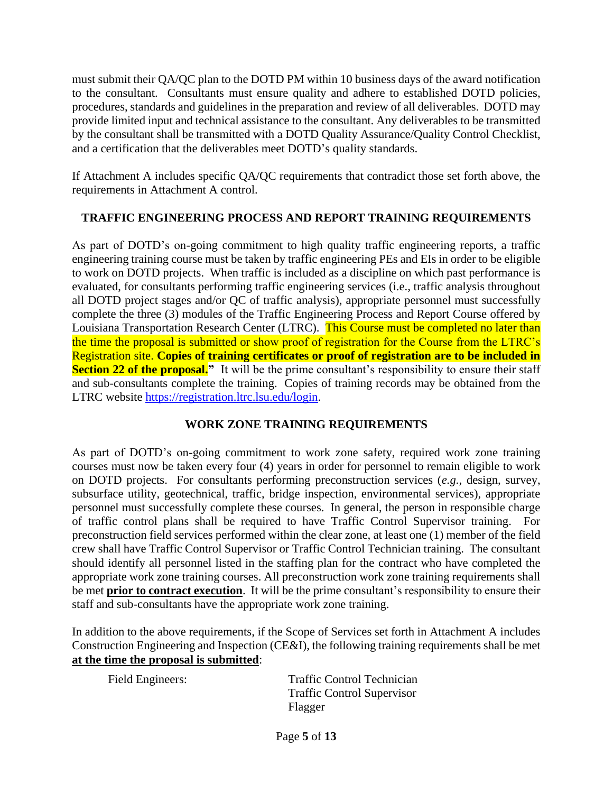must submit their QA/QC plan to the DOTD PM within 10 business days of the award notification to the consultant. Consultants must ensure quality and adhere to established DOTD policies, procedures, standards and guidelines in the preparation and review of all deliverables. DOTD may provide limited input and technical assistance to the consultant. Any deliverables to be transmitted by the consultant shall be transmitted with a DOTD Quality Assurance/Quality Control Checklist, and a certification that the deliverables meet DOTD's quality standards.

If Attachment A includes specific QA/QC requirements that contradict those set forth above, the requirements in Attachment A control.

# **TRAFFIC ENGINEERING PROCESS AND REPORT TRAINING REQUIREMENTS**

As part of DOTD's on-going commitment to high quality traffic engineering reports, a traffic engineering training course must be taken by traffic engineering PEs and EIs in order to be eligible to work on DOTD projects. When traffic is included as a discipline on which past performance is evaluated, for consultants performing traffic engineering services (i.e., traffic analysis throughout all DOTD project stages and/or QC of traffic analysis), appropriate personnel must successfully complete the three (3) modules of the Traffic Engineering Process and Report Course offered by Louisiana Transportation Research Center (LTRC). This Course must be completed no later than the time the proposal is submitted or show proof of registration for the Course from the LTRC's Registration site. **Copies of training certificates or proof of registration are to be included in Section 22 of the proposal.**" It will be the prime consultant's responsibility to ensure their staff and sub-consultants complete the training. Copies of training records may be obtained from the LTRC website [https://registration.ltrc.lsu.edu/login.](https://registration.ltrc.lsu.edu/login)

# **WORK ZONE TRAINING REQUIREMENTS**

As part of DOTD's on-going commitment to work zone safety, required work zone training courses must now be taken every four (4) years in order for personnel to remain eligible to work on DOTD projects. For consultants performing preconstruction services (*e.g.*, design, survey, subsurface utility, geotechnical, traffic, bridge inspection, environmental services), appropriate personnel must successfully complete these courses. In general, the person in responsible charge of traffic control plans shall be required to have Traffic Control Supervisor training. For preconstruction field services performed within the clear zone, at least one (1) member of the field crew shall have Traffic Control Supervisor or Traffic Control Technician training. The consultant should identify all personnel listed in the staffing plan for the contract who have completed the appropriate work zone training courses. All preconstruction work zone training requirements shall be met **prior to contract execution**. It will be the prime consultant's responsibility to ensure their staff and sub-consultants have the appropriate work zone training.

In addition to the above requirements, if the Scope of Services set forth in Attachment A includes Construction Engineering and Inspection (CE&I), the following training requirements shall be met **at the time the proposal is submitted**:

Field Engineers: Traffic Control Technician Traffic Control Supervisor Flagger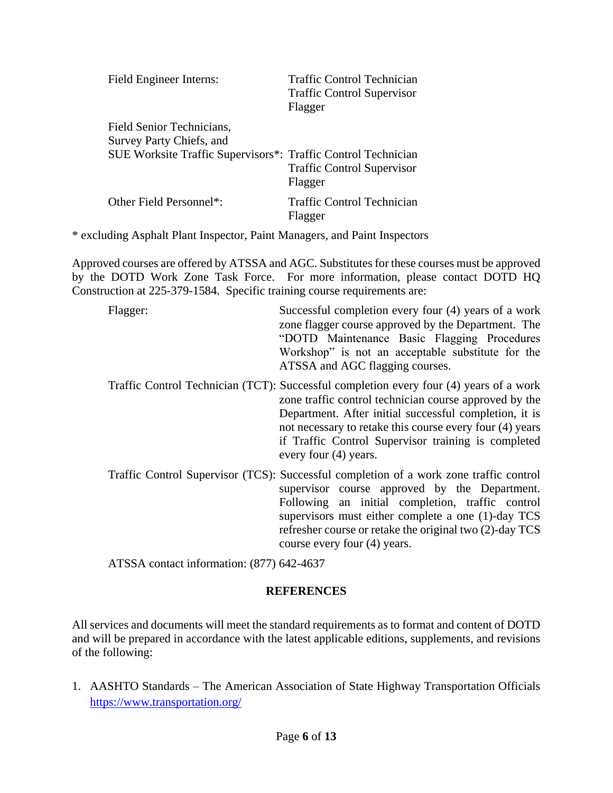| Field Engineer Interns:                                       | Traffic Control Technician<br><b>Traffic Control Supervisor</b><br>Flagger |
|---------------------------------------------------------------|----------------------------------------------------------------------------|
| Field Senior Technicians,<br>Survey Party Chiefs, and         |                                                                            |
| SUE Worksite Traffic Supervisors*: Traffic Control Technician | <b>Traffic Control Supervisor</b><br>Flagger                               |
| Other Field Personnel*:                                       | <b>Traffic Control Technician</b><br>Flagger                               |

\* excluding Asphalt Plant Inspector, Paint Managers, and Paint Inspectors

Approved courses are offered by ATSSA and AGC. Substitutes for these courses must be approved by the DOTD Work Zone Task Force. For more information, please contact DOTD HQ Construction at 225-379-1584. Specific training course requirements are:

Flagger: Successful completion every four (4) years of a work zone flagger course approved by the Department. The "DOTD Maintenance Basic Flagging Procedures Workshop" is not an acceptable substitute for the ATSSA and AGC flagging courses.

- Traffic Control Technician (TCT): Successful completion every four (4) years of a work zone traffic control technician course approved by the Department. After initial successful completion, it is not necessary to retake this course every four (4) years if Traffic Control Supervisor training is completed every four (4) years.
- Traffic Control Supervisor (TCS): Successful completion of a work zone traffic control supervisor course approved by the Department. Following an initial completion, traffic control supervisors must either complete a one (1)-day TCS refresher course or retake the original two (2)-day TCS course every four (4) years.

ATSSA contact information: (877) 642-4637

# **REFERENCES**

All services and documents will meet the standard requirements as to format and content of DOTD and will be prepared in accordance with the latest applicable editions, supplements, and revisions of the following:

1. AASHTO Standards – The American Association of State Highway Transportation Officials <https://www.transportation.org/>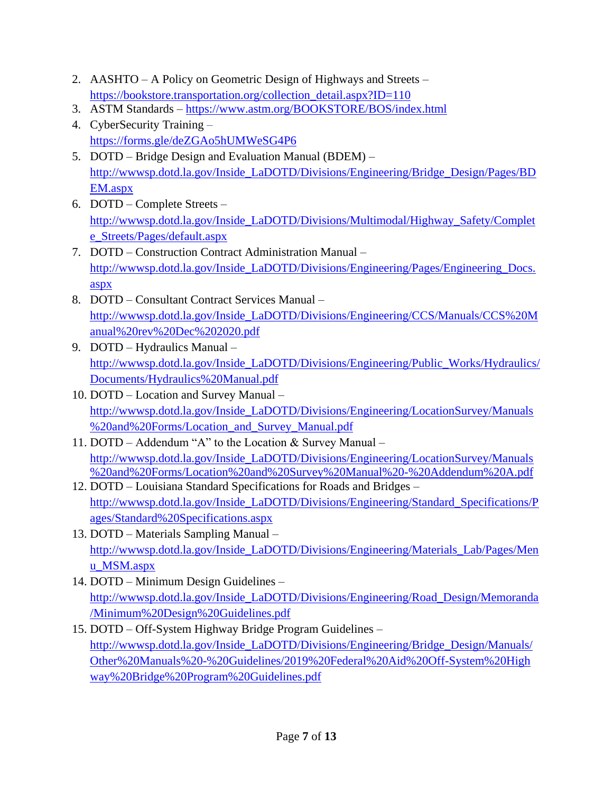- 2. AASHTO A Policy on Geometric Design of Highways and Streets [https://bookstore.transportation.org/collection\\_detail.aspx?ID=110](https://bookstore.transportation.org/collection_detail.aspx?ID=110)
- 3. ASTM Standards <https://www.astm.org/BOOKSTORE/BOS/index.html>
- 4. CyberSecurity Training <https://forms.gle/deZGAo5hUMWeSG4P6>
- 5. DOTD Bridge Design and Evaluation Manual (BDEM) [http://wwwsp.dotd.la.gov/Inside\\_LaDOTD/Divisions/Engineering/Bridge\\_Design/Pages/BD](http://wwwsp.dotd.la.gov/Inside_LaDOTD/Divisions/Engineering/Bridge_Design/Pages/BDEM.aspx) [EM.aspx](http://wwwsp.dotd.la.gov/Inside_LaDOTD/Divisions/Engineering/Bridge_Design/Pages/BDEM.aspx)
- 6. DOTD Complete Streets [http://wwwsp.dotd.la.gov/Inside\\_LaDOTD/Divisions/Multimodal/Highway\\_Safety/Complet](http://wwwsp.dotd.la.gov/Inside_LaDOTD/Divisions/Multimodal/Highway_Safety/Complete_Streets/Pages/default.aspx) [e\\_Streets/Pages/default.aspx](http://wwwsp.dotd.la.gov/Inside_LaDOTD/Divisions/Multimodal/Highway_Safety/Complete_Streets/Pages/default.aspx)
- 7. DOTD Construction Contract Administration Manual [http://wwwsp.dotd.la.gov/Inside\\_LaDOTD/Divisions/Engineering/Pages/Engineering\\_Docs.](http://wwwsp.dotd.la.gov/Inside_LaDOTD/Divisions/Engineering/Pages/Engineering_Docs.aspx) [aspx](http://wwwsp.dotd.la.gov/Inside_LaDOTD/Divisions/Engineering/Pages/Engineering_Docs.aspx)
- 8. DOTD Consultant Contract Services Manual [http://wwwsp.dotd.la.gov/Inside\\_LaDOTD/Divisions/Engineering/CCS/Manuals/CCS%20M](http://wwwsp.dotd.la.gov/Inside_LaDOTD/Divisions/Engineering/CCS/Manuals/CCS%20Manual%20rev%20Dec%202020.pdf) [anual%20rev%20Dec%202020.pdf](http://wwwsp.dotd.la.gov/Inside_LaDOTD/Divisions/Engineering/CCS/Manuals/CCS%20Manual%20rev%20Dec%202020.pdf)
- 9. DOTD Hydraulics Manual [http://wwwsp.dotd.la.gov/Inside\\_LaDOTD/Divisions/Engineering/Public\\_Works/Hydraulics/](http://wwwsp.dotd.la.gov/Inside_LaDOTD/Divisions/Engineering/Public_Works/Hydraulics/Documents/Hydraulics%20Manual.pdf) [Documents/Hydraulics%20Manual.pdf](http://wwwsp.dotd.la.gov/Inside_LaDOTD/Divisions/Engineering/Public_Works/Hydraulics/Documents/Hydraulics%20Manual.pdf)
- 10. DOTD Location and Survey Manual [http://wwwsp.dotd.la.gov/Inside\\_LaDOTD/Divisions/Engineering/LocationSurvey/Manuals](http://wwwsp.dotd.la.gov/Inside_LaDOTD/Divisions/Engineering/LocationSurvey/Manuals%20and%20Forms/Location_and_Survey_Manual.pdf) [%20and%20Forms/Location\\_and\\_Survey\\_Manual.pdf](http://wwwsp.dotd.la.gov/Inside_LaDOTD/Divisions/Engineering/LocationSurvey/Manuals%20and%20Forms/Location_and_Survey_Manual.pdf)
- 11. DOTD Addendum "A" to the Location & Survey Manual [http://wwwsp.dotd.la.gov/Inside\\_LaDOTD/Divisions/Engineering/LocationSurvey/Manuals](http://wwwsp.dotd.la.gov/Inside_LaDOTD/Divisions/Engineering/LocationSurvey/Manuals%20and%20Forms/Location%20and%20Survey%20Manual%20-%20Addendum%20A.pdf) [%20and%20Forms/Location%20and%20Survey%20Manual%20-%20Addendum%20A.pdf](http://wwwsp.dotd.la.gov/Inside_LaDOTD/Divisions/Engineering/LocationSurvey/Manuals%20and%20Forms/Location%20and%20Survey%20Manual%20-%20Addendum%20A.pdf)
- 12. DOTD Louisiana Standard Specifications for Roads and Bridges [http://wwwsp.dotd.la.gov/Inside\\_LaDOTD/Divisions/Engineering/Standard\\_Specifications/P](http://wwwsp.dotd.la.gov/Inside_LaDOTD/Divisions/Engineering/Standard_Specifications/Pages/Standard%20Specifications.aspx) [ages/Standard%20Specifications.aspx](http://wwwsp.dotd.la.gov/Inside_LaDOTD/Divisions/Engineering/Standard_Specifications/Pages/Standard%20Specifications.aspx)
- 13. DOTD Materials Sampling Manual [http://wwwsp.dotd.la.gov/Inside\\_LaDOTD/Divisions/Engineering/Materials\\_Lab/Pages/Men](http://wwwsp.dotd.la.gov/Inside_LaDOTD/Divisions/Engineering/Materials_Lab/Pages/Menu_MSM.aspx) [u\\_MSM.aspx](http://wwwsp.dotd.la.gov/Inside_LaDOTD/Divisions/Engineering/Materials_Lab/Pages/Menu_MSM.aspx)
- 14. DOTD Minimum Design Guidelines [http://wwwsp.dotd.la.gov/Inside\\_LaDOTD/Divisions/Engineering/Road\\_Design/Memoranda](http://wwwsp.dotd.la.gov/Inside_LaDOTD/Divisions/Engineering/Road_Design/Memoranda/Minimum%20Design%20Guidelines.pdf) [/Minimum%20Design%20Guidelines.pdf](http://wwwsp.dotd.la.gov/Inside_LaDOTD/Divisions/Engineering/Road_Design/Memoranda/Minimum%20Design%20Guidelines.pdf)
- 15. DOTD Off-System Highway Bridge Program Guidelines [http://wwwsp.dotd.la.gov/Inside\\_LaDOTD/Divisions/Engineering/Bridge\\_Design/Manuals/](http://wwwsp.dotd.la.gov/Inside_LaDOTD/Divisions/Engineering/Bridge_Design/Manuals/Other%20Manuals%20-%20Guidelines/2019%20Federal%20Aid%20Off-System%20Highway%20Bridge%20Program%20Guidelines.pdf) [Other%20Manuals%20-%20Guidelines/2019%20Federal%20Aid%20Off-System%20High](http://wwwsp.dotd.la.gov/Inside_LaDOTD/Divisions/Engineering/Bridge_Design/Manuals/Other%20Manuals%20-%20Guidelines/2019%20Federal%20Aid%20Off-System%20Highway%20Bridge%20Program%20Guidelines.pdf) [way%20Bridge%20Program%20Guidelines.pdf](http://wwwsp.dotd.la.gov/Inside_LaDOTD/Divisions/Engineering/Bridge_Design/Manuals/Other%20Manuals%20-%20Guidelines/2019%20Federal%20Aid%20Off-System%20Highway%20Bridge%20Program%20Guidelines.pdf)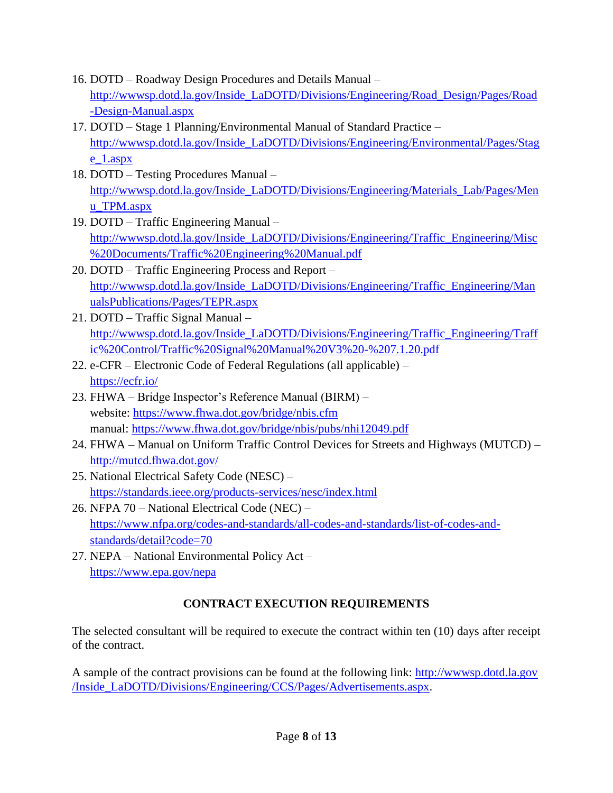- 16. DOTD Roadway Design Procedures and Details Manual [http://wwwsp.dotd.la.gov/Inside\\_LaDOTD/Divisions/Engineering/Road\\_Design/Pages/Road](http://wwwsp.dotd.la.gov/Inside_LaDOTD/Divisions/Engineering/Road_Design/Pages/Road-Design-Manual.aspx) [-Design-Manual.aspx](http://wwwsp.dotd.la.gov/Inside_LaDOTD/Divisions/Engineering/Road_Design/Pages/Road-Design-Manual.aspx)
- 17. DOTD Stage 1 Planning/Environmental Manual of Standard Practice [http://wwwsp.dotd.la.gov/Inside\\_LaDOTD/Divisions/Engineering/Environmental/Pages/Stag](http://wwwsp.dotd.la.gov/Inside_LaDOTD/Divisions/Engineering/Environmental/Pages/Stage_1.aspx) [e\\_1.aspx](http://wwwsp.dotd.la.gov/Inside_LaDOTD/Divisions/Engineering/Environmental/Pages/Stage_1.aspx)
- 18. DOTD Testing Procedures Manual [http://wwwsp.dotd.la.gov/Inside\\_LaDOTD/Divisions/Engineering/Materials\\_Lab/Pages/Men](http://wwwsp.dotd.la.gov/Inside_LaDOTD/Divisions/Engineering/Materials_Lab/Pages/Menu_TPM.aspx) [u\\_TPM.aspx](http://wwwsp.dotd.la.gov/Inside_LaDOTD/Divisions/Engineering/Materials_Lab/Pages/Menu_TPM.aspx)
- 19. DOTD Traffic Engineering Manual [http://wwwsp.dotd.la.gov/Inside\\_LaDOTD/Divisions/Engineering/Traffic\\_Engineering/Misc](http://wwwsp.dotd.la.gov/Inside_LaDOTD/Divisions/Engineering/Traffic_Engineering/Misc%20Documents/Traffic%20Engineering%20Manual.pdf) [%20Documents/Traffic%20Engineering%20Manual.pdf](http://wwwsp.dotd.la.gov/Inside_LaDOTD/Divisions/Engineering/Traffic_Engineering/Misc%20Documents/Traffic%20Engineering%20Manual.pdf)
- 20. DOTD Traffic Engineering Process and Report [http://wwwsp.dotd.la.gov/Inside\\_LaDOTD/Divisions/Engineering/Traffic\\_Engineering/Man](http://wwwsp.dotd.la.gov/Inside_LaDOTD/Divisions/Engineering/Traffic_Engineering/ManualsPublications/Pages/TEPR.aspx) [ualsPublications/Pages/TEPR.aspx](http://wwwsp.dotd.la.gov/Inside_LaDOTD/Divisions/Engineering/Traffic_Engineering/ManualsPublications/Pages/TEPR.aspx)
- 21. DOTD Traffic Signal Manual [http://wwwsp.dotd.la.gov/Inside\\_LaDOTD/Divisions/Engineering/Traffic\\_Engineering/Traff](http://wwwsp.dotd.la.gov/Inside_LaDOTD/Divisions/Engineering/Traffic_Engineering/Traffic%20Control/Traffic%20Signal%20Manual%20V3%20-%207.1.20.pdf) [ic%20Control/Traffic%20Signal%20Manual%20V3%20-%207.1.20.pdf](http://wwwsp.dotd.la.gov/Inside_LaDOTD/Divisions/Engineering/Traffic_Engineering/Traffic%20Control/Traffic%20Signal%20Manual%20V3%20-%207.1.20.pdf)
- 22. e-CFR Electronic Code of Federal Regulations (all applicable) <https://ecfr.io/>
- 23. FHWA Bridge Inspector's Reference Manual (BIRM) website:<https://www.fhwa.dot.gov/bridge/nbis.cfm> manual:<https://www.fhwa.dot.gov/bridge/nbis/pubs/nhi12049.pdf>
- 24. FHWA Manual on Uniform Traffic Control Devices for Streets and Highways (MUTCD) <http://mutcd.fhwa.dot.gov/>
- 25. National Electrical Safety Code (NESC) <https://standards.ieee.org/products-services/nesc/index.html>
- 26. NFPA 70 National Electrical Code (NEC) [https://www.nfpa.org/codes-and-standards/all-codes-and-standards/list-of-codes-and](https://www.nfpa.org/codes-and-standards/all-codes-and-standards/list-of-codes-and-standards/detail?code=70)[standards/detail?code=70](https://www.nfpa.org/codes-and-standards/all-codes-and-standards/list-of-codes-and-standards/detail?code=70)
- 27. NEPA National Environmental Policy Act <https://www.epa.gov/nepa>

# **CONTRACT EXECUTION REQUIREMENTS**

The selected consultant will be required to execute the contract within ten (10) days after receipt of the contract.

A sample of the contract provisions can be found at the following link: [http://wwwsp.dotd.la.gov](http://wwwsp.dotd.la.gov/Inside_LaDOTD/Divisions/Engineering/CCS/Pages/Advertisements.aspx) [/Inside\\_LaDOTD/Divisions/Engineering/CCS/Pages/Advertisements.aspx.](http://wwwsp.dotd.la.gov/Inside_LaDOTD/Divisions/Engineering/CCS/Pages/Advertisements.aspx)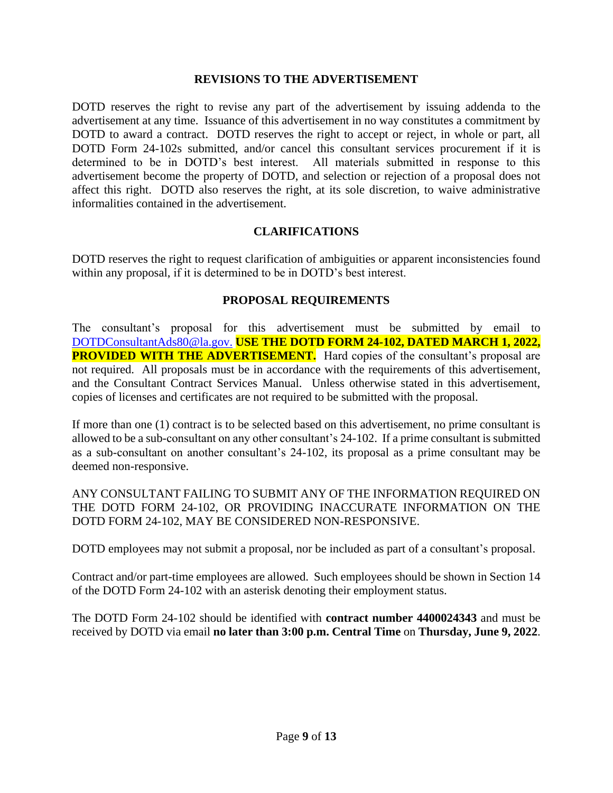#### **REVISIONS TO THE ADVERTISEMENT**

DOTD reserves the right to revise any part of the advertisement by issuing addenda to the advertisement at any time. Issuance of this advertisement in no way constitutes a commitment by DOTD to award a contract. DOTD reserves the right to accept or reject, in whole or part, all DOTD Form 24-102s submitted, and/or cancel this consultant services procurement if it is determined to be in DOTD's best interest. All materials submitted in response to this advertisement become the property of DOTD, and selection or rejection of a proposal does not affect this right. DOTD also reserves the right, at its sole discretion, to waive administrative informalities contained in the advertisement.

### **CLARIFICATIONS**

DOTD reserves the right to request clarification of ambiguities or apparent inconsistencies found within any proposal, if it is determined to be in DOTD's best interest.

#### **PROPOSAL REQUIREMENTS**

The consultant's proposal for this advertisement must be submitted by email to [DOTDConsultantAds80@la.gov.](mailto:DOTDConsultantAds80@la.gov) **USE THE DOTD FORM 24-102, DATED MARCH 1, 2022, PROVIDED WITH THE ADVERTISEMENT.** Hard copies of the consultant's proposal are not required. All proposals must be in accordance with the requirements of this advertisement, and the Consultant Contract Services Manual. Unless otherwise stated in this advertisement, copies of licenses and certificates are not required to be submitted with the proposal.

If more than one (1) contract is to be selected based on this advertisement, no prime consultant is allowed to be a sub-consultant on any other consultant's 24-102. If a prime consultant is submitted as a sub-consultant on another consultant's 24-102, its proposal as a prime consultant may be deemed non-responsive.

ANY CONSULTANT FAILING TO SUBMIT ANY OF THE INFORMATION REQUIRED ON THE DOTD FORM 24-102, OR PROVIDING INACCURATE INFORMATION ON THE DOTD FORM 24-102, MAY BE CONSIDERED NON-RESPONSIVE.

DOTD employees may not submit a proposal, nor be included as part of a consultant's proposal.

Contract and/or part-time employees are allowed. Such employees should be shown in Section 14 of the DOTD Form 24-102 with an asterisk denoting their employment status.

The DOTD Form 24-102 should be identified with **contract number 4400024343** and must be received by DOTD via email **no later than 3:00 p.m. Central Time** on **Thursday, June 9, 2022**.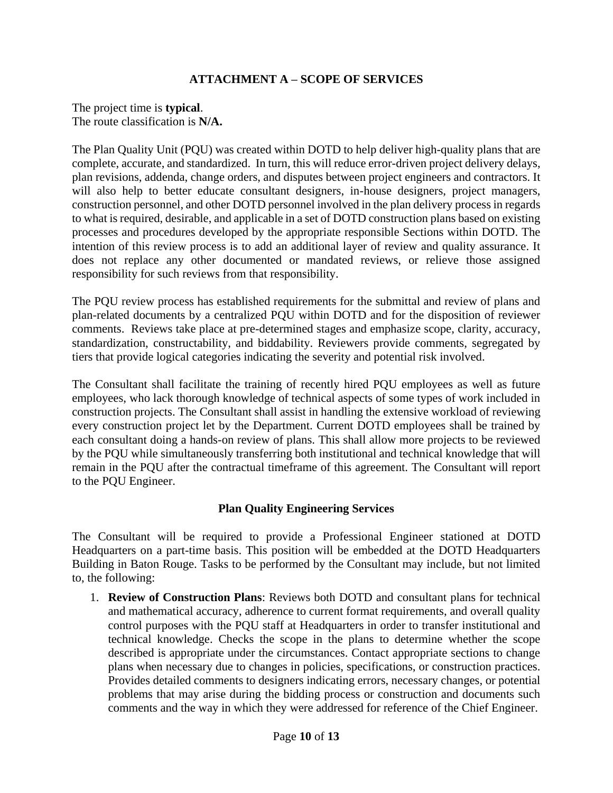# **ATTACHMENT A – SCOPE OF SERVICES**

The project time is **typical**. The route classification is **N/A.**

The Plan Quality Unit (PQU) was created within DOTD to help deliver high-quality plans that are complete, accurate, and standardized. In turn, this will reduce error-driven project delivery delays, plan revisions, addenda, change orders, and disputes between project engineers and contractors. It will also help to better educate consultant designers, in-house designers, project managers, construction personnel, and other DOTD personnel involved in the plan delivery process in regards to what is required, desirable, and applicable in a set of DOTD construction plans based on existing processes and procedures developed by the appropriate responsible Sections within DOTD. The intention of this review process is to add an additional layer of review and quality assurance. It does not replace any other documented or mandated reviews, or relieve those assigned responsibility for such reviews from that responsibility.

The PQU review process has established requirements for the submittal and review of plans and plan-related documents by a centralized PQU within DOTD and for the disposition of reviewer comments. Reviews take place at pre-determined stages and emphasize scope, clarity, accuracy, standardization, constructability, and biddability. Reviewers provide comments, segregated by tiers that provide logical categories indicating the severity and potential risk involved.

The Consultant shall facilitate the training of recently hired PQU employees as well as future employees, who lack thorough knowledge of technical aspects of some types of work included in construction projects. The Consultant shall assist in handling the extensive workload of reviewing every construction project let by the Department. Current DOTD employees shall be trained by each consultant doing a hands-on review of plans. This shall allow more projects to be reviewed by the PQU while simultaneously transferring both institutional and technical knowledge that will remain in the PQU after the contractual timeframe of this agreement. The Consultant will report to the PQU Engineer.

### **Plan Quality Engineering Services**

The Consultant will be required to provide a Professional Engineer stationed at DOTD Headquarters on a part-time basis. This position will be embedded at the DOTD Headquarters Building in Baton Rouge. Tasks to be performed by the Consultant may include, but not limited to, the following:

1. **Review of Construction Plans**: Reviews both DOTD and consultant plans for technical and mathematical accuracy, adherence to current format requirements, and overall quality control purposes with the PQU staff at Headquarters in order to transfer institutional and technical knowledge. Checks the scope in the plans to determine whether the scope described is appropriate under the circumstances. Contact appropriate sections to change plans when necessary due to changes in policies, specifications, or construction practices. Provides detailed comments to designers indicating errors, necessary changes, or potential problems that may arise during the bidding process or construction and documents such comments and the way in which they were addressed for reference of the Chief Engineer.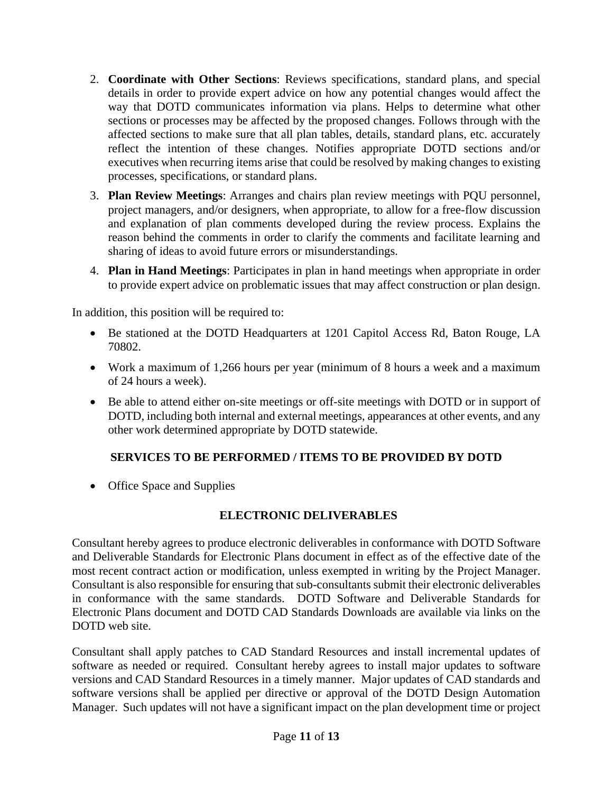- 2. **Coordinate with Other Sections**: Reviews specifications, standard plans, and special details in order to provide expert advice on how any potential changes would affect the way that DOTD communicates information via plans. Helps to determine what other sections or processes may be affected by the proposed changes. Follows through with the affected sections to make sure that all plan tables, details, standard plans, etc. accurately reflect the intention of these changes. Notifies appropriate DOTD sections and/or executives when recurring items arise that could be resolved by making changes to existing processes, specifications, or standard plans.
- 3. **Plan Review Meetings**: Arranges and chairs plan review meetings with PQU personnel, project managers, and/or designers, when appropriate, to allow for a free-flow discussion and explanation of plan comments developed during the review process. Explains the reason behind the comments in order to clarify the comments and facilitate learning and sharing of ideas to avoid future errors or misunderstandings.
- 4. **Plan in Hand Meetings**: Participates in plan in hand meetings when appropriate in order to provide expert advice on problematic issues that may affect construction or plan design.

In addition, this position will be required to:

- Be stationed at the DOTD Headquarters at 1201 Capitol Access Rd, Baton Rouge, LA 70802.
- Work a maximum of 1,266 hours per year (minimum of 8 hours a week and a maximum of 24 hours a week).
- Be able to attend either on-site meetings or off-site meetings with DOTD or in support of DOTD, including both internal and external meetings, appearances at other events, and any other work determined appropriate by DOTD statewide.

# **SERVICES TO BE PERFORMED / ITEMS TO BE PROVIDED BY DOTD**

• Office Space and Supplies

# **ELECTRONIC DELIVERABLES**

Consultant hereby agrees to produce electronic deliverables in conformance with DOTD Software and Deliverable Standards for Electronic Plans document in effect as of the effective date of the most recent contract action or modification, unless exempted in writing by the Project Manager. Consultant is also responsible for ensuring that sub-consultants submit their electronic deliverables in conformance with the same standards. DOTD Software and Deliverable Standards for Electronic Plans document and DOTD CAD Standards Downloads are available via links on the DOTD web site.

Consultant shall apply patches to CAD Standard Resources and install incremental updates of software as needed or required. Consultant hereby agrees to install major updates to software versions and CAD Standard Resources in a timely manner. Major updates of CAD standards and software versions shall be applied per directive or approval of the DOTD Design Automation Manager. Such updates will not have a significant impact on the plan development time or project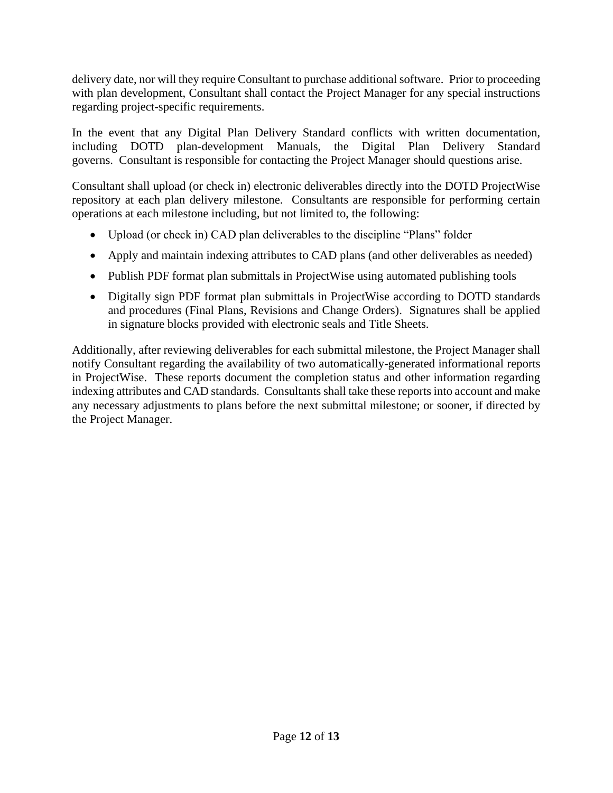delivery date, nor will they require Consultant to purchase additional software. Prior to proceeding with plan development, Consultant shall contact the Project Manager for any special instructions regarding project-specific requirements.

In the event that any Digital Plan Delivery Standard conflicts with written documentation, including DOTD plan-development Manuals, the Digital Plan Delivery Standard governs. Consultant is responsible for contacting the Project Manager should questions arise.

Consultant shall upload (or check in) electronic deliverables directly into the DOTD ProjectWise repository at each plan delivery milestone. Consultants are responsible for performing certain operations at each milestone including, but not limited to, the following:

- Upload (or check in) CAD plan deliverables to the discipline "Plans" folder
- Apply and maintain indexing attributes to CAD plans (and other deliverables as needed)
- Publish PDF format plan submittals in ProjectWise using automated publishing tools
- Digitally sign PDF format plan submittals in ProjectWise according to DOTD standards and procedures (Final Plans, Revisions and Change Orders). Signatures shall be applied in signature blocks provided with electronic seals and Title Sheets.

Additionally, after reviewing deliverables for each submittal milestone, the Project Manager shall notify Consultant regarding the availability of two automatically-generated informational reports in ProjectWise. These reports document the completion status and other information regarding indexing attributes and CAD standards. Consultants shall take these reports into account and make any necessary adjustments to plans before the next submittal milestone; or sooner, if directed by the Project Manager.